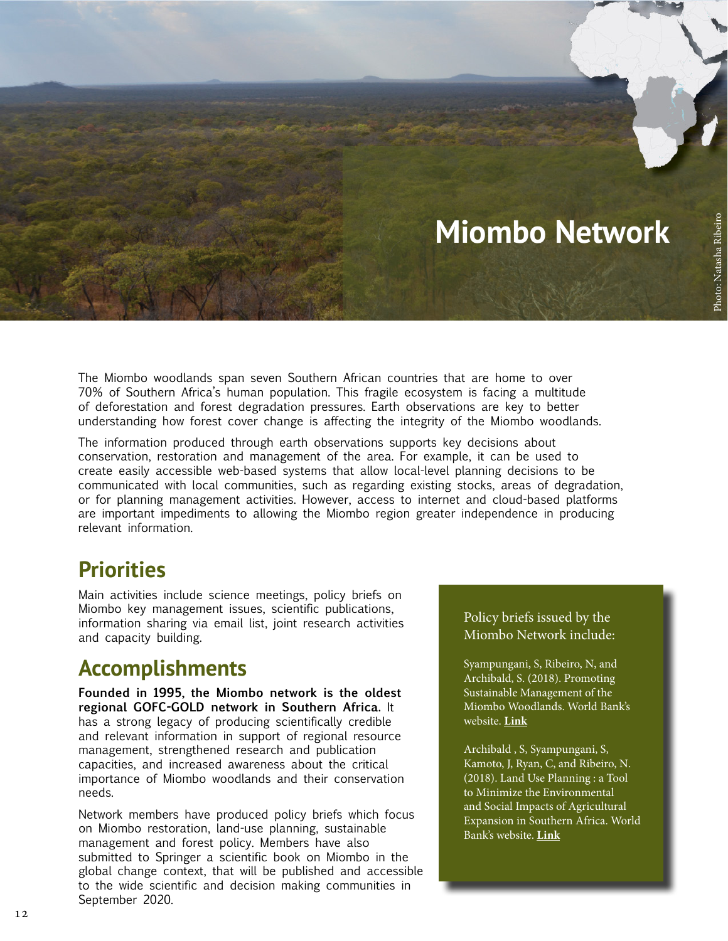

The Miombo woodlands span seven Southern African countries that are home to over 70% of Southern Africa's human population. This fragile ecosystem is facing a multitude of deforestation and forest degradation pressures. Earth observations are key to better understanding how forest cover change is affecting the integrity of the Miombo woodlands.

The information produced through earth observations supports key decisions about conservation, restoration and management of the area. For example, it can be used to create easily accessible web-based systems that allow local-level planning decisions to be communicated with local communities, such as regarding existing stocks, areas of degradation, or for planning management activities. However, access to internet and cloud-based platforms are important impediments to allowing the Miombo region greater independence in producing relevant information.

## **Priorities**

Main activities include science meetings, policy briefs on Miombo key management issues, scientific publications, information sharing via email list, joint research activities and capacity building.

## **Accomplishments**

**Founded in 1995, the Miombo network is the oldest regional GOFC-GOLD network in Southern Africa.** It has a strong legacy of producing scientifically credible and relevant information in support of regional resource management, strengthened research and publication capacities, and increased awareness about the critical importance of Miombo woodlands and their conservation needs.

Network members have produced policy briefs which focus on Miombo restoration, land-use planning, sustainable management and forest policy. Members have also submitted to Springer a scientific book on Miombo in the global change context, that will be published and accessible to the wide scientific and decision making communities in September 2020.

#### Policy briefs issued by the Miombo Network include:

Syampungani, S, Ribeiro, N, and Archibald, S. (2018). Promoting Sustainable Management of the Miombo Woodlands. World Bank's website. **[Link](http://documents.worldbank.org/curated/en/590591538633708840/Promoting-Sustainable-Management-of-the-Miombo-Woodlands-Policy-Brief-2)**

Archibald , S, Syampungani, S, Kamoto, J, Ryan, C, and Ribeiro, N. (2018). Land Use Planning : a Tool to Minimize the Environmental and Social Impacts of Agricultural Expansion in Southern Africa. World Bank's website. **[Link](http://documents.worldbank.org/curated/en/869041538634776289/Land-Use-Planning-a-Tool-to-Minimize-the-Environmental-and-Social-Impacts-of-Agricultural-Expansion-in-Southern-Africa-Policy-Brief-3)**